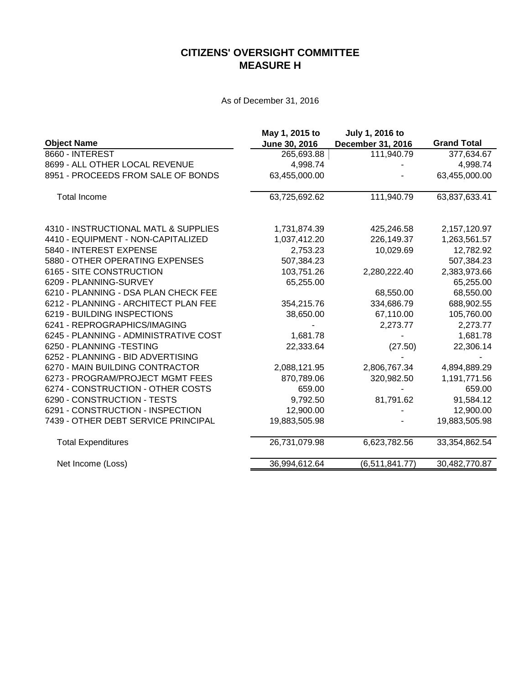## **CITIZENS' OVERSIGHT COMMITTEE MEASURE H**

As of December 31, 2016

|                                       | May 1, 2015 to | <b>July 1, 2016 to</b> |                    |
|---------------------------------------|----------------|------------------------|--------------------|
| <b>Object Name</b>                    | June 30, 2016  | December 31, 2016      | <b>Grand Total</b> |
| 8660 - INTEREST                       | 265,693.88     | 111,940.79             | 377,634.67         |
| 8699 - ALL OTHER LOCAL REVENUE        | 4,998.74       |                        | 4,998.74           |
| 8951 - PROCEEDS FROM SALE OF BONDS    | 63,455,000.00  |                        | 63,455,000.00      |
| <b>Total Income</b>                   | 63,725,692.62  | 111,940.79             | 63,837,633.41      |
| 4310 - INSTRUCTIONAL MATL & SUPPLIES  | 1,731,874.39   | 425,246.58             | 2,157,120.97       |
| 4410 - EQUIPMENT - NON-CAPITALIZED    | 1,037,412.20   | 226,149.37             | 1,263,561.57       |
| 5840 - INTEREST EXPENSE               | 2,753.23       | 10,029.69              | 12,782.92          |
| 5880 - OTHER OPERATING EXPENSES       | 507,384.23     |                        | 507,384.23         |
| 6165 - SITE CONSTRUCTION              | 103,751.26     | 2,280,222.40           | 2,383,973.66       |
| 6209 - PLANNING-SURVEY                | 65,255.00      |                        | 65,255.00          |
| 6210 - PLANNING - DSA PLAN CHECK FEE  |                | 68,550.00              | 68,550.00          |
| 6212 - PLANNING - ARCHITECT PLAN FEE  | 354,215.76     | 334,686.79             | 688,902.55         |
| 6219 - BUILDING INSPECTIONS           | 38,650.00      | 67,110.00              | 105,760.00         |
| 6241 - REPROGRAPHICS/IMAGING          |                | 2,273.77               | 2,273.77           |
| 6245 - PLANNING - ADMINISTRATIVE COST | 1,681.78       |                        | 1,681.78           |
| 6250 - PLANNING - TESTING             | 22,333.64      | (27.50)                | 22,306.14          |
| 6252 - PLANNING - BID ADVERTISING     |                |                        |                    |
| 6270 - MAIN BUILDING CONTRACTOR       | 2,088,121.95   | 2,806,767.34           | 4,894,889.29       |
| 6273 - PROGRAM/PROJECT MGMT FEES      | 870,789.06     | 320,982.50             | 1,191,771.56       |
| 6274 - CONSTRUCTION - OTHER COSTS     | 659.00         |                        | 659.00             |
| 6290 - CONSTRUCTION - TESTS           | 9,792.50       | 81,791.62              | 91,584.12          |
| 6291 - CONSTRUCTION - INSPECTION      | 12,900.00      |                        | 12,900.00          |
| 7439 - OTHER DEBT SERVICE PRINCIPAL   | 19,883,505.98  |                        | 19,883,505.98      |
| <b>Total Expenditures</b>             | 26,731,079.98  | 6,623,782.56           | 33,354,862.54      |
| Net Income (Loss)                     | 36,994,612.64  | (6,511,841.77)         | 30,482,770.87      |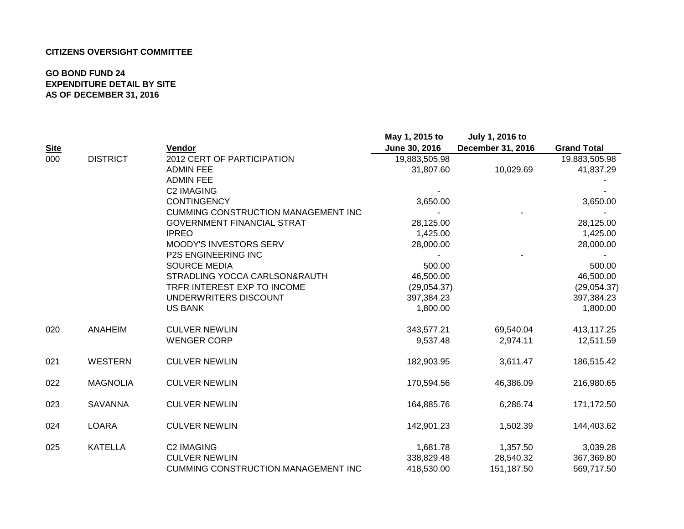## **CITIZENS OVERSIGHT COMMITTEE**

## **GO BOND FUND 24 EXPENDITURE DETAIL BY SITE AS OF DECEMBER 31, 2016**

|             |                               |                                            | May 1, 2015 to | July 1, 2016 to   |                    |
|-------------|-------------------------------|--------------------------------------------|----------------|-------------------|--------------------|
| <b>Site</b> |                               | Vendor                                     | June 30, 2016  | December 31, 2016 | <b>Grand Total</b> |
| 000         | <b>DISTRICT</b>               | 2012 CERT OF PARTICIPATION                 | 19,883,505.98  |                   | 19,883,505.98      |
|             |                               | <b>ADMIN FEE</b>                           | 31,807.60      | 10,029.69         | 41,837.29          |
|             |                               | <b>ADMIN FEE</b>                           |                |                   |                    |
|             |                               | <b>C2 IMAGING</b>                          |                |                   |                    |
|             |                               | <b>CONTINGENCY</b>                         | 3,650.00       |                   | 3,650.00           |
|             |                               | <b>CUMMING CONSTRUCTION MANAGEMENT INC</b> |                |                   |                    |
|             |                               | <b>GOVERNMENT FINANCIAL STRAT</b>          | 28,125.00      |                   | 28,125.00          |
|             |                               | <b>IPREO</b>                               | 1,425.00       |                   | 1,425.00           |
|             |                               | <b>MOODY'S INVESTORS SERV</b>              | 28,000.00      |                   | 28,000.00          |
|             |                               | <b>P2S ENGINEERING INC</b>                 |                |                   |                    |
|             |                               | <b>SOURCE MEDIA</b>                        | 500.00         |                   | 500.00             |
|             | STRADLING YOCCA CARLSON&RAUTH | 46,500.00                                  |                | 46,500.00         |                    |
|             |                               | TRFR INTEREST EXP TO INCOME                | (29,054.37)    |                   | (29,054.37)        |
|             |                               | UNDERWRITERS DISCOUNT                      | 397,384.23     |                   | 397,384.23         |
|             |                               | <b>US BANK</b>                             | 1,800.00       |                   | 1,800.00           |
| 020         | <b>ANAHEIM</b>                | <b>CULVER NEWLIN</b>                       | 343,577.21     | 69,540.04         | 413,117.25         |
|             |                               | <b>WENGER CORP</b>                         | 9,537.48       | 2,974.11          | 12,511.59          |
| 021         | <b>WESTERN</b>                | <b>CULVER NEWLIN</b>                       | 182,903.95     | 3,611.47          | 186,515.42         |
| 022         | <b>MAGNOLIA</b>               | <b>CULVER NEWLIN</b>                       | 170,594.56     | 46,386.09         | 216,980.65         |
| 023         | <b>SAVANNA</b>                | <b>CULVER NEWLIN</b>                       | 164,885.76     | 6,286.74          | 171,172.50         |
| 024         | <b>LOARA</b>                  | <b>CULVER NEWLIN</b>                       | 142,901.23     | 1,502.39          | 144,403.62         |
| 025         | <b>KATELLA</b>                | <b>C2 IMAGING</b>                          | 1,681.78       | 1,357.50          | 3,039.28           |
|             |                               | <b>CULVER NEWLIN</b>                       | 338,829.48     | 28,540.32         | 367,369.80         |
|             |                               | <b>CUMMING CONSTRUCTION MANAGEMENT INC</b> | 418,530.00     | 151,187.50        | 569,717.50         |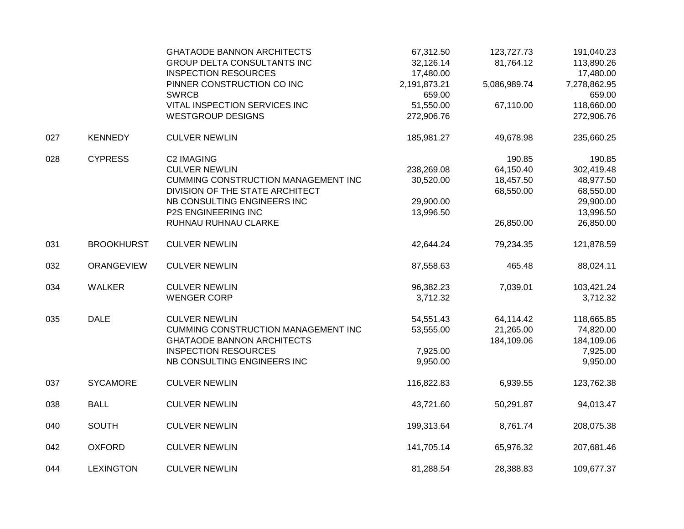|                    |                             | <b>GHATAODE BANNON ARCHITECTS</b><br>GROUP DELTA CONSULTANTS INC<br><b>INSPECTION RESOURCES</b> | 67,312.50<br>32,126.14<br>17,480.00 | 123,727.73<br>81,764.12 | 191,040.23<br>113,890.26<br>17,480.00 |
|--------------------|-----------------------------|-------------------------------------------------------------------------------------------------|-------------------------------------|-------------------------|---------------------------------------|
|                    |                             | PINNER CONSTRUCTION CO INC<br><b>SWRCB</b>                                                      | 2,191,873.21<br>659.00              | 5,086,989.74            | 7,278,862.95<br>659.00                |
|                    |                             | VITAL INSPECTION SERVICES INC<br><b>WESTGROUP DESIGNS</b>                                       | 51,550.00<br>272,906.76             | 67,110.00               | 118,660.00<br>272,906.76              |
| 027                | <b>KENNEDY</b>              | <b>CULVER NEWLIN</b>                                                                            | 185,981.27                          | 49,678.98               | 235,660.25                            |
| 028                | <b>CYPRESS</b>              | <b>C2 IMAGING</b>                                                                               |                                     | 190.85                  | 190.85                                |
|                    |                             | <b>CULVER NEWLIN</b>                                                                            | 238,269.08                          | 64,150.40               | 302,419.48                            |
|                    |                             | CUMMING CONSTRUCTION MANAGEMENT INC                                                             | 30,520.00                           | 18,457.50               | 48,977.50                             |
|                    |                             | DIVISION OF THE STATE ARCHITECT                                                                 |                                     | 68,550.00               | 68,550.00                             |
|                    |                             | NB CONSULTING ENGINEERS INC                                                                     | 29,900.00                           |                         | 29,900.00                             |
|                    |                             | P2S ENGINEERING INC                                                                             | 13,996.50                           |                         | 13,996.50                             |
|                    |                             | RUHNAU RUHNAU CLARKE                                                                            |                                     | 26,850.00               | 26,850.00                             |
| 031                | <b>BROOKHURST</b>           | <b>CULVER NEWLIN</b>                                                                            | 42,644.24                           | 79,234.35               | 121,878.59                            |
| 032                | <b>ORANGEVIEW</b>           | <b>CULVER NEWLIN</b>                                                                            | 87,558.63                           | 465.48                  | 88,024.11                             |
| 034                | <b>WALKER</b>               | <b>CULVER NEWLIN</b>                                                                            | 96,382.23                           | 7,039.01                | 103,421.24                            |
|                    |                             | <b>WENGER CORP</b>                                                                              | 3,712.32                            |                         | 3,712.32                              |
| <b>DALE</b><br>035 |                             | <b>CULVER NEWLIN</b>                                                                            | 54,551.43                           | 64,114.42               | 118,665.85                            |
|                    |                             | <b>CUMMING CONSTRUCTION MANAGEMENT INC</b><br><b>GHATAODE BANNON ARCHITECTS</b>                 | 53,555.00                           | 21,265.00<br>184,109.06 | 74,820.00<br>184,109.06               |
|                    |                             | <b>INSPECTION RESOURCES</b>                                                                     | 7,925.00                            |                         | 7,925.00                              |
|                    | NB CONSULTING ENGINEERS INC | 9,950.00                                                                                        |                                     | 9,950.00                |                                       |
| 037                | <b>SYCAMORE</b>             | <b>CULVER NEWLIN</b>                                                                            | 116,822.83                          | 6,939.55                | 123,762.38                            |
| 038                | <b>BALL</b>                 | <b>CULVER NEWLIN</b>                                                                            | 43,721.60                           | 50,291.87               | 94,013.47                             |
| 040                | <b>SOUTH</b>                | <b>CULVER NEWLIN</b>                                                                            | 199,313.64                          | 8,761.74                | 208,075.38                            |
| 042                | <b>OXFORD</b>               | <b>CULVER NEWLIN</b>                                                                            | 141,705.14                          | 65,976.32               | 207,681.46                            |
| 044                | <b>LEXINGTON</b>            | <b>CULVER NEWLIN</b>                                                                            | 81,288.54                           | 28,388.83               | 109,677.37                            |